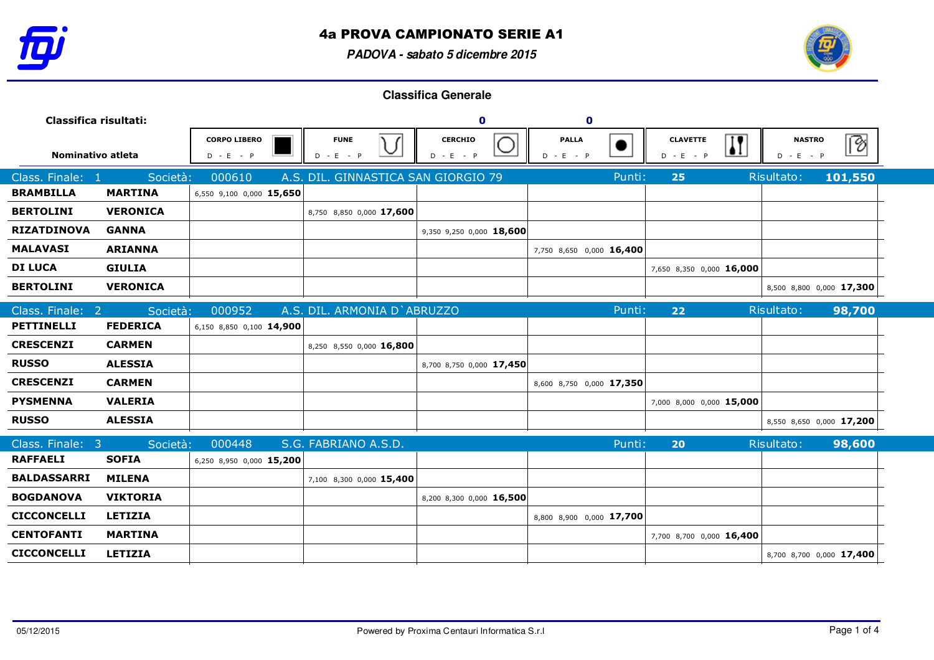

**PADOVA - sabato 5 dicembre 2015**



| Classifica risultati: |                 |                                    | $\mathbf 0$ |                                     | $\mathbf 0$                   |                             |                          |                                |                         |                              |                          |
|-----------------------|-----------------|------------------------------------|-------------|-------------------------------------|-------------------------------|-----------------------------|--------------------------|--------------------------------|-------------------------|------------------------------|--------------------------|
| Nominativo atleta     |                 | <b>CORPO LIBERO</b><br>$D - E - P$ |             | <b>FUNE</b><br>) ۱<br>$D - E - P$   | <b>CERCHIO</b><br>$D - E - P$ | <b>PALLA</b><br>$D - E - P$ |                          | <b>CLAVETTE</b><br>$D - E - P$ | $\overline{\mathbf{H}}$ | <b>NASTRO</b><br>$D - E - P$ | B                        |
| Class. Finale: 1      | Società:        | 000610                             |             | A.S. DIL. GINNASTICA SAN GIORGIO 79 |                               |                             | Punti:                   | 25                             |                         | Risultato:                   | 101,550                  |
| <b>BRAMBILLA</b>      | <b>MARTINA</b>  | 6,550 9,100 0,000 15,650           |             |                                     |                               |                             |                          |                                |                         |                              |                          |
| <b>BERTOLINI</b>      | <b>VERONICA</b> |                                    |             | 8,750 8,850 0,000 17,600            |                               |                             |                          |                                |                         |                              |                          |
| <b>RIZATDINOVA</b>    | <b>GANNA</b>    |                                    |             |                                     | 9,350 9,250 0,000 18,600      |                             |                          |                                |                         |                              |                          |
| <b>MALAVASI</b>       | <b>ARIANNA</b>  |                                    |             |                                     |                               |                             | 7,750 8,650 0,000 16,400 |                                |                         |                              |                          |
| <b>DI LUCA</b>        | <b>GIULIA</b>   |                                    |             |                                     |                               |                             |                          | 7,650 8,350 0,000 16,000       |                         |                              |                          |
| <b>BERTOLINI</b>      | <b>VERONICA</b> |                                    |             |                                     |                               |                             |                          |                                |                         |                              | 8,500 8,800 0,000 17,300 |
| Class. Finale: 2      | Società:        | 000952                             |             | A.S. DIL. ARMONIA D'ABRUZZO         |                               |                             | Punti:                   | 22                             |                         | Risultato:                   | 98,700                   |
| <b>PETTINELLI</b>     | <b>FEDERICA</b> | 6,150 8,850 0,100 14,900           |             |                                     |                               |                             |                          |                                |                         |                              |                          |
| <b>CRESCENZI</b>      | <b>CARMEN</b>   |                                    |             | 8,250 8,550 0,000 16,800            |                               |                             |                          |                                |                         |                              |                          |
| <b>RUSSO</b>          | <b>ALESSIA</b>  |                                    |             |                                     | 8,700 8,750 0,000 17,450      |                             |                          |                                |                         |                              |                          |
| <b>CRESCENZI</b>      | <b>CARMEN</b>   |                                    |             |                                     |                               |                             | 8,600 8,750 0,000 17,350 |                                |                         |                              |                          |
| <b>PYSMENNA</b>       | <b>VALERIA</b>  |                                    |             |                                     |                               |                             |                          | 7,000 8,000 0,000 15,000       |                         |                              |                          |
| <b>RUSSO</b>          | <b>ALESSIA</b>  |                                    |             |                                     |                               |                             |                          |                                |                         |                              | 8,550 8,650 0,000 17,200 |
| Class. Finale: 3      | Società:        | 000448                             |             | S.G. FABRIANO A.S.D.                |                               |                             | Punti:                   | 20                             |                         | Risultato:                   | 98,600                   |
| <b>RAFFAELI</b>       | <b>SOFIA</b>    | 6,250 8,950 0,000 15,200           |             |                                     |                               |                             |                          |                                |                         |                              |                          |
| <b>BALDASSARRI</b>    | <b>MILENA</b>   |                                    |             | 7,100 8,300 0,000 15,400            |                               |                             |                          |                                |                         |                              |                          |
| <b>BOGDANOVA</b>      | <b>VIKTORIA</b> |                                    |             |                                     | 8,200 8,300 0,000 16,500      |                             |                          |                                |                         |                              |                          |
| <b>CICCONCELLI</b>    | <b>LETIZIA</b>  |                                    |             |                                     |                               |                             | 8,800 8,900 0,000 17,700 |                                |                         |                              |                          |
| <b>CENTOFANTI</b>     | <b>MARTINA</b>  |                                    |             |                                     |                               |                             |                          | 7,700 8,700 0,000 16,400       |                         |                              |                          |
| <b>CICCONCELLI</b>    | <b>LETIZIA</b>  |                                    |             |                                     |                               |                             |                          |                                |                         |                              | 8,700 8,700 0,000 17,400 |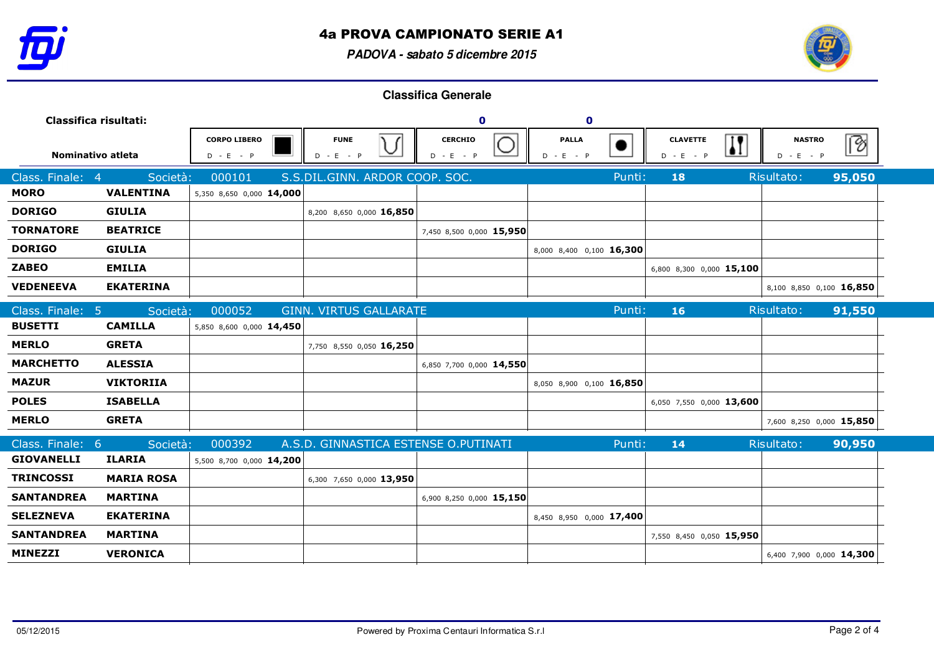

## 4a PROVA CAMPIONATO SERIE A1

**PADOVA - sabato 5 dicembre 2015**



| Classifica risultati: |                   |                                    |                                           | $\mathbf 0$                                 |   | $\mathbf 0$              |                                |                                                         |                          |
|-----------------------|-------------------|------------------------------------|-------------------------------------------|---------------------------------------------|---|--------------------------|--------------------------------|---------------------------------------------------------|--------------------------|
| Nominativo atleta     |                   | <b>CORPO LIBERO</b><br>$D - E - P$ | <b>FUNE</b><br>$\check{ }$<br>$D - E - P$ | $\sqrt{ }$<br><b>CERCHIO</b><br>$D - E - P$ | D | <b>PALLA</b><br>$-E - P$ | <b>CLAVETTE</b><br>$D - E - P$ | $\overline{\mathbf{H}}$<br><b>NASTRO</b><br>$D - E - P$ | B                        |
| Class. Finale: 4      | Società:          | 000101                             | S.S.DIL.GINN. ARDOR COOP. SOC.            |                                             |   | Punti:                   | 18                             | Risultato:                                              | 95,050                   |
| <b>MORO</b>           | <b>VALENTINA</b>  | 5,350 8,650 0,000 14,000           |                                           |                                             |   |                          |                                |                                                         |                          |
| <b>DORIGO</b>         | <b>GIULIA</b>     |                                    | 8,200 8,650 0,000 16,850                  |                                             |   |                          |                                |                                                         |                          |
| <b>TORNATORE</b>      | <b>BEATRICE</b>   |                                    |                                           | 7,450 8,500 0,000 15,950                    |   |                          |                                |                                                         |                          |
| <b>DORIGO</b>         | <b>GIULIA</b>     |                                    |                                           |                                             |   | 8,000 8,400 0,100 16,300 |                                |                                                         |                          |
| <b>ZABEO</b>          | <b>EMILIA</b>     |                                    |                                           |                                             |   |                          | 6,800 8,300 0,000 15,100       |                                                         |                          |
| <b>VEDENEEVA</b>      | <b>EKATERINA</b>  |                                    |                                           |                                             |   |                          |                                |                                                         | 8,100 8,850 0,100 16,850 |
| Class. Finale: 5      | Società:          | 000052                             | <b>GINN. VIRTUS GALLARATE</b>             |                                             |   | Punti:                   | 16                             | Risultato:                                              | 91,550                   |
| <b>BUSETTI</b>        | <b>CAMILLA</b>    | 5,850 8,600 0,000 14,450           |                                           |                                             |   |                          |                                |                                                         |                          |
| <b>MERLO</b>          | <b>GRETA</b>      |                                    | 7,750 8,550 0,050 16,250                  |                                             |   |                          |                                |                                                         |                          |
| <b>MARCHETTO</b>      | <b>ALESSIA</b>    |                                    |                                           | 6,850 7,700 0,000 14,550                    |   |                          |                                |                                                         |                          |
| <b>MAZUR</b>          | <b>VIKTORIIA</b>  |                                    |                                           |                                             |   | 8,050 8,900 0,100 16,850 |                                |                                                         |                          |
| <b>POLES</b>          | <b>ISABELLA</b>   |                                    |                                           |                                             |   |                          | 6,050 7,550 0,000 13,600       |                                                         |                          |
| <b>MERLO</b>          | <b>GRETA</b>      |                                    |                                           |                                             |   |                          |                                |                                                         | 7,600 8,250 0,000 15,850 |
| Class. Finale: 6      | Società:          | 000392                             | A.S.D. GINNASTICA ESTENSE O.PUTINATI      |                                             |   | Punti:                   | 14                             | Risultato:                                              | 90,950                   |
| <b>GIOVANELLI</b>     | <b>ILARIA</b>     | 5,500 8,700 0,000 14,200           |                                           |                                             |   |                          |                                |                                                         |                          |
| <b>TRINCOSSI</b>      | <b>MARIA ROSA</b> |                                    | 6,300 7,650 0,000 13,950                  |                                             |   |                          |                                |                                                         |                          |
| <b>SANTANDREA</b>     | <b>MARTINA</b>    |                                    |                                           | 6,900 8,250 0,000 15,150                    |   |                          |                                |                                                         |                          |
| <b>SELEZNEVA</b>      | <b>EKATERINA</b>  |                                    |                                           |                                             |   | 8,450 8,950 0,000 17,400 |                                |                                                         |                          |
| <b>SANTANDREA</b>     | <b>MARTINA</b>    |                                    |                                           |                                             |   |                          | 7,550 8,450 0,050 15,950       |                                                         |                          |
| <b>MINEZZI</b>        | <b>VERONICA</b>   |                                    |                                           |                                             |   |                          |                                |                                                         | 6,400 7,900 0,000 14,300 |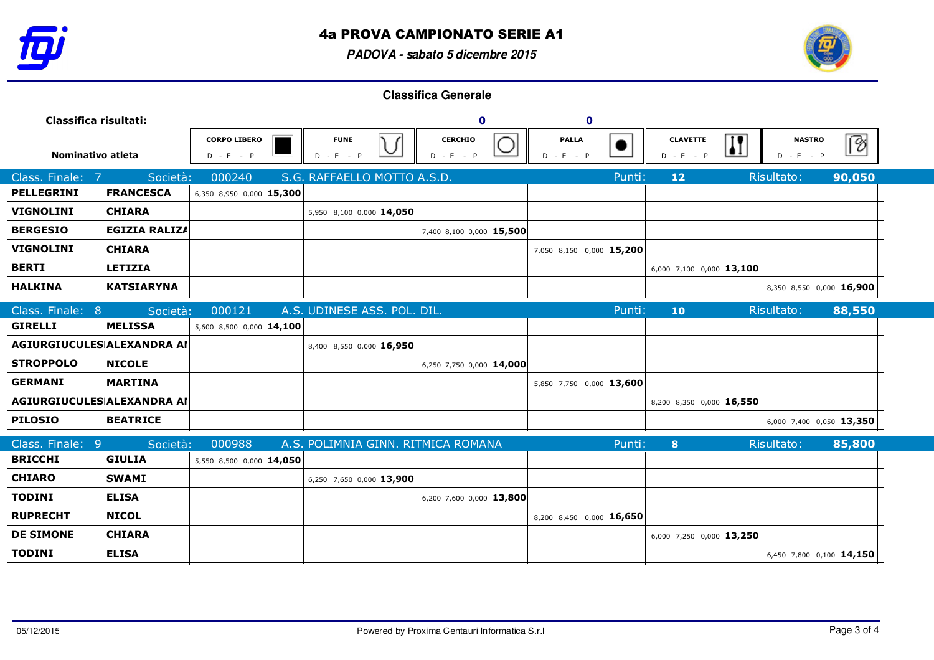

## 4a PROVA CAMPIONATO SERIE A1

**PADOVA - sabato 5 dicembre 2015**



| Classifica risultati:             |                      |                                    |                                                          | $\mathbf 0$                   | $\mathbf 0$                   |                                                           |                              |        |
|-----------------------------------|----------------------|------------------------------------|----------------------------------------------------------|-------------------------------|-------------------------------|-----------------------------------------------------------|------------------------------|--------|
| Nominativo atleta                 |                      | <b>CORPO LIBERO</b><br>$D - E - P$ | <b>FUNE</b><br>$\sqrt{ }$<br>$\checkmark$<br>$D - E - P$ | <b>CERCHIO</b><br>$D - E - P$ | <b>PALLA</b><br>$-E - P$<br>D | $\overline{\mathbf{H}}$<br><b>CLAVETTE</b><br>$D - E - P$ | <b>NASTRO</b><br>$D - E - P$ |        |
| Class. Finale: 7                  | Società:             | 000240                             | S.G. RAFFAELLO MOTTO A.S.D.                              |                               | Punti:                        | $12$                                                      | Risultato:                   | 90,050 |
| <b>PELLEGRINI</b>                 | <b>FRANCESCA</b>     | 6,350 8,950 0,000 15,300           |                                                          |                               |                               |                                                           |                              |        |
| <b>VIGNOLINI</b>                  | <b>CHIARA</b>        |                                    | 5,950 8,100 0,000 14,050                                 |                               |                               |                                                           |                              |        |
| <b>BERGESIO</b>                   | <b>EGIZIA RALIZA</b> |                                    |                                                          | 7,400 8,100 0,000 15,500      |                               |                                                           |                              |        |
| <b>VIGNOLINI</b>                  | <b>CHIARA</b>        |                                    |                                                          |                               | 7,050 8,150 0,000 15,200      |                                                           |                              |        |
| <b>BERTI</b>                      | <b>LETIZIA</b>       |                                    |                                                          |                               |                               | 6,000 7,100 0,000 13,100                                  |                              |        |
| <b>HALKINA</b>                    | <b>KATSIARYNA</b>    |                                    |                                                          |                               |                               |                                                           | 8,350 8,550 0,000 16,900     |        |
| Class. Finale: 8                  | Società:             | 000121                             | A.S. UDINESE ASS. POL. DIL.                              |                               | Punti:                        | 10                                                        | Risultato:                   | 88,550 |
| <b>GIRELLI</b>                    | <b>MELISSA</b>       | 5,600 8,500 0,000 14,100           |                                                          |                               |                               |                                                           |                              |        |
| <b>AGIURGIUCULES ALEXANDRA AI</b> |                      |                                    | 8,400 8,550 0,000 16,950                                 |                               |                               |                                                           |                              |        |
| <b>STROPPOLO</b>                  | <b>NICOLE</b>        |                                    |                                                          | 6,250 7,750 0,000 14,000      |                               |                                                           |                              |        |
| <b>GERMANI</b>                    | <b>MARTINA</b>       |                                    |                                                          |                               | 5,850 7,750 0,000 13,600      |                                                           |                              |        |
| AGIURGIUCULES ALEXANDRA AI        |                      |                                    |                                                          |                               |                               | 8,200 8,350 0,000 16,550                                  |                              |        |
| <b>PILOSIO</b>                    | <b>BEATRICE</b>      |                                    |                                                          |                               |                               |                                                           | 6,000 7,400 0,050 13,350     |        |
| Class. Finale: 9                  | Società:             | 000988                             | A.S. POLIMNIA GINN. RITMICA ROMANA                       |                               | Punti:                        | 8                                                         | Risultato:                   | 85,800 |
| <b>BRICCHI</b>                    | <b>GIULIA</b>        | 5,550 8,500 0,000 14,050           |                                                          |                               |                               |                                                           |                              |        |
| <b>CHIARO</b>                     | <b>SWAMI</b>         |                                    | 6,250 7,650 0,000 13,900                                 |                               |                               |                                                           |                              |        |
| <b>TODINI</b>                     | <b>ELISA</b>         |                                    |                                                          | 6,200 7,600 0,000 13,800      |                               |                                                           |                              |        |
| <b>RUPRECHT</b>                   | <b>NICOL</b>         |                                    |                                                          |                               | 8,200 8,450 0,000 16,650      |                                                           |                              |        |
| <b>DE SIMONE</b>                  | <b>CHIARA</b>        |                                    |                                                          |                               |                               | 6,000 7,250 0,000 13,250                                  |                              |        |
| <b>TODINI</b>                     | <b>ELISA</b>         |                                    |                                                          |                               |                               |                                                           | 6,450 7,800 0,100 14,150     |        |